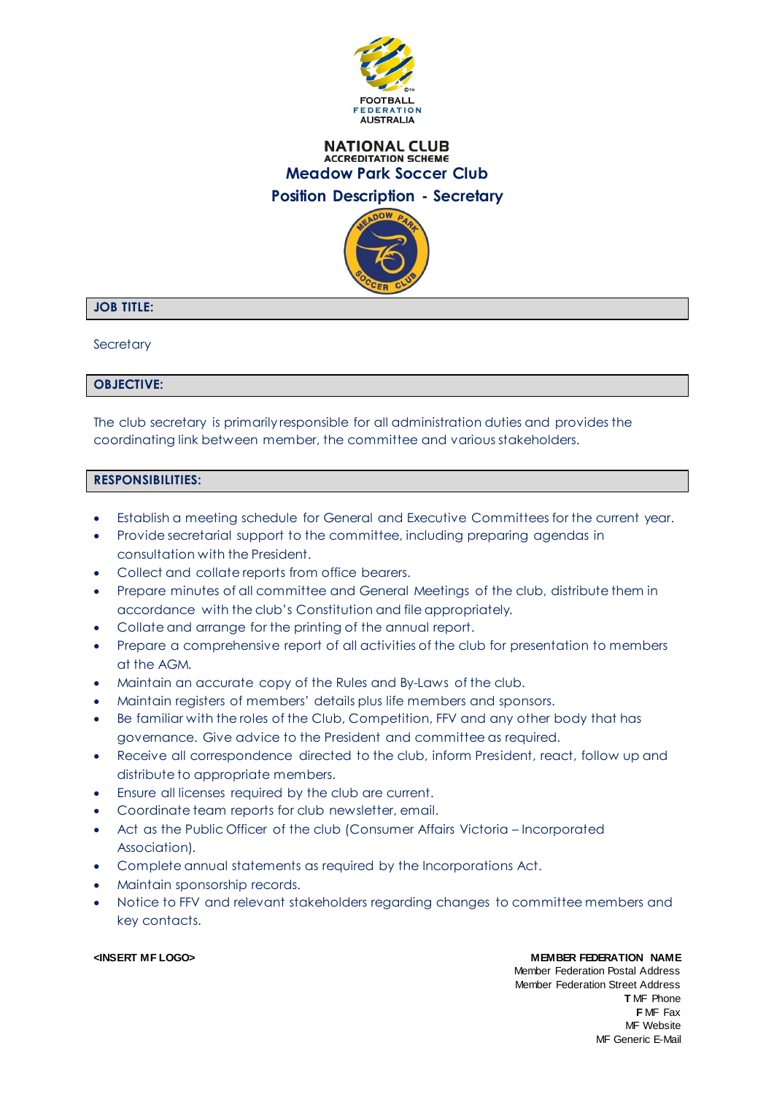

## **NATIONAL CLUB ACCREDITATION SCHEME Meadow Park Soccer Club Position Description - Secretary**



# **JOB TITLE:**

**Secretary** 

### **OBJECTIVE:**

The club secretary is primarily responsible for all administration duties and provides the coordinating link between member, the committee and various stakeholders.

### **RESPONSIBILITIES:**

- Establish a meeting schedule for General and Executive Committees for the current year.
- Provide secretarial support to the committee, including preparing agendas in consultation with the President.
- Collect and collate reports from office bearers.
- Prepare minutes of all committee and General Meetings of the club, distribute them in accordance with the club's Constitution and file appropriately.
- Collate and arrange for the printing of the annual report.
- Prepare a comprehensive report of all activities of the club for presentation to members at the AGM.
- Maintain an accurate copy of the Rules and By-Laws of the club.
- Maintain registers of members' details plus life members and sponsors.
- Be familiar with the roles of the Club, Competition, FFV and any other body that has governance. Give advice to the President and committee as required.
- Receive all correspondence directed to the club, inform President, react, follow up and distribute to appropriate members.
- Ensure all licenses required by the club are current.
- Coordinate team reports for club newsletter, email.
- Act as the Public Officer of the club (Consumer Affairs Victoria Incorporated Association).
- Complete annual statements as required by the Incorporations Act.
- Maintain sponsorship records.
- Notice to FFV and relevant stakeholders regarding changes to committee members and key contacts.

#### **<INSERT MF LOGO> MEMBER FEDERATION NAME**

Member Federation Postal Address

Member Federation Street Address **T** MF Phone **F** MF Fax MF Website MF Generic E-Mail